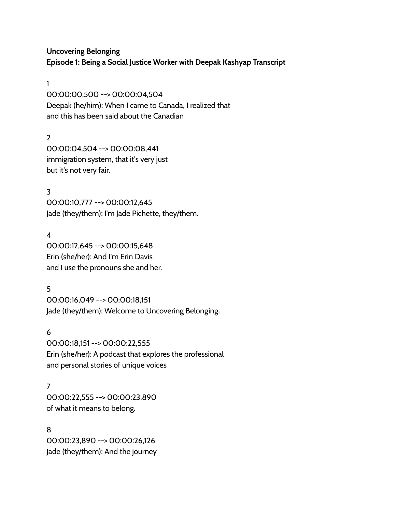**Uncovering Belonging Episode 1: Being a Social Justice Worker with Deepak Kashyap Transcript**

1

00:00:00,500 --> 00:00:04,504 Deepak (he/him): When I came to Canada, I realized that and this has been said about the Canadian

 $\mathcal{L}$ 00:00:04,504 --> 00:00:08,441 immigration system, that it's very just but it's not very fair.

3 00:00:10,777 --> 00:00:12,645 Jade (they/them): I'm Jade Pichette, they/them.

4 00:00:12,645 --> 00:00:15,648 Erin (she/her): And I'm Erin Davis and I use the pronouns she and her.

5 00:00:16,049 --> 00:00:18,151 Jade (they/them): Welcome to Uncovering Belonging.

6 00:00:18,151 --> 00:00:22,555 Erin (she/her): A podcast that explores the professional and personal stories of unique voices

7 00:00:22,555 --> 00:00:23,890 of what it means to belong.

8 00:00:23,890 --> 00:00:26,126 Jade (they/them): And the journey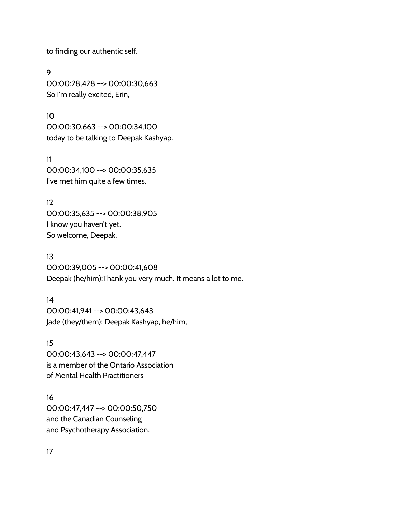to finding our authentic self.

9 00:00:28,428 --> 00:00:30,663 So I'm really excited, Erin,

10 00:00:30,663 --> 00:00:34,100 today to be talking to Deepak Kashyap.

11 00:00:34,100 --> 00:00:35,635 I've met him quite a few times.

12 00:00:35,635 --> 00:00:38,905 I know you haven't yet. So welcome, Deepak.

13 00:00:39,005 --> 00:00:41,608 Deepak (he/him):Thank you very much. It means a lot to me.

14 00:00:41,941 --> 00:00:43,643 Jade (they/them): Deepak Kashyap, he/him,

15 00:00:43,643 --> 00:00:47,447 is a member of the Ontario Association of Mental Health Practitioners

16 00:00:47,447 --> 00:00:50,750 and the Canadian Counseling and Psychotherapy Association.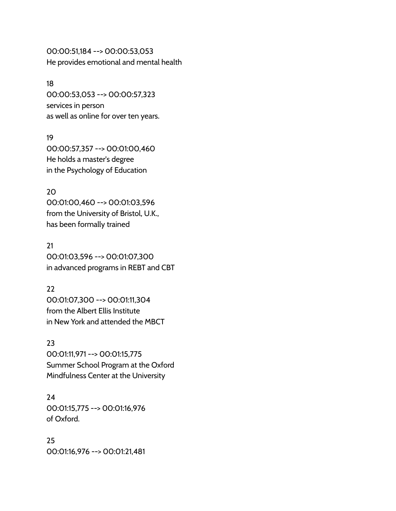00:00:51,184 --> 00:00:53,053 He provides emotional and mental health

#### 18

00:00:53,053 --> 00:00:57,323 services in person as well as online for over ten years.

## 19

00:00:57,357 --> 00:01:00,460 He holds a master's degree in the Psychology of Education

## 20

00:01:00,460 --> 00:01:03,596 from the University of Bristol, U.K., has been formally trained

21 00:01:03,596 --> 00:01:07,300 in advanced programs in REBT and CBT

## 22

00:01:07,300 --> 00:01:11,304 from the Albert Ellis Institute in New York and attended the MBCT

## 23

00:01:11,971 --> 00:01:15,775 Summer School Program at the Oxford Mindfulness Center at the University

## 24 00:01:15,775 --> 00:01:16,976 of Oxford.

25 00:01:16,976 --> 00:01:21,481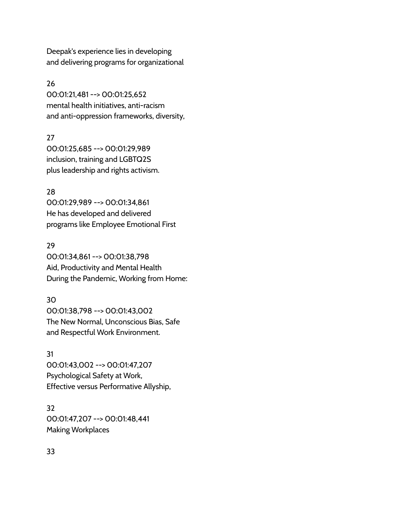Deepak's experience lies in developing and delivering programs for organizational

## 26

00:01:21,481 --> 00:01:25,652 mental health initiatives, anti-racism and anti-oppression frameworks, diversity,

## 27

00:01:25,685 --> 00:01:29,989 inclusion, training and LGBTQ2S plus leadership and rights activism.

## 28

00:01:29,989 --> 00:01:34,861 He has developed and delivered programs like Employee Emotional First

## 29

00:01:34,861 --> 00:01:38,798 Aid, Productivity and Mental Health During the Pandemic, Working from Home:

## 30

00:01:38,798 --> 00:01:43,002 The New Normal, Unconscious Bias, Safe and Respectful Work Environment.

# 31

00:01:43,002 --> 00:01:47,207 Psychological Safety at Work, Effective versus Performative Allyship,

32 00:01:47,207 --> 00:01:48,441 Making Workplaces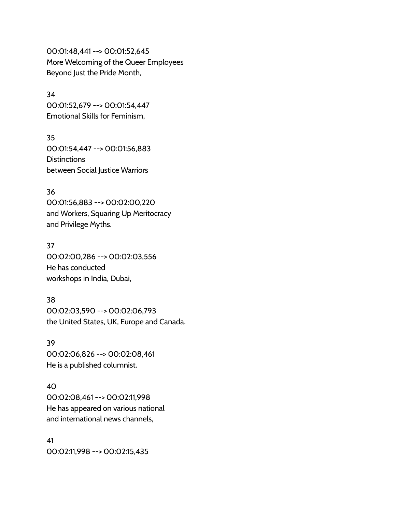00:01:48,441 --> 00:01:52,645 More Welcoming of the Queer Employees Beyond Just the Pride Month,

## 34

00:01:52,679 --> 00:01:54,447 Emotional Skills for Feminism,

35 00:01:54,447 --> 00:01:56,883 **Distinctions** between Social Justice Warriors

#### 36

00:01:56,883 --> 00:02:00,220 and Workers, Squaring Up Meritocracy and Privilege Myths.

## 37

00:02:00,286 --> 00:02:03,556 He has conducted workshops in India, Dubai,

## 38

00:02:03,590 --> 00:02:06,793 the United States, UK, Europe and Canada.

39 00:02:06,826 --> 00:02:08,461 He is a published columnist.

## 40

00:02:08,461 --> 00:02:11,998 He has appeared on various national and international news channels,

41 00:02:11,998 --> 00:02:15,435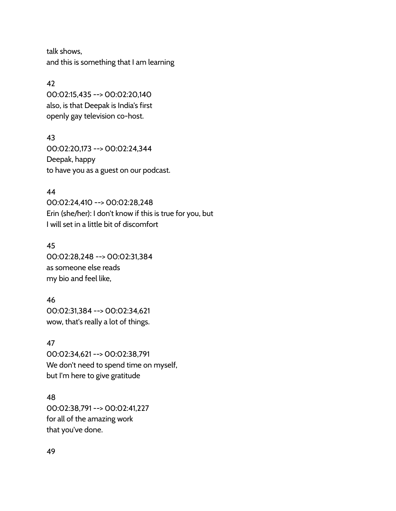talk shows, and this is something that I am learning

## 42

00:02:15,435 --> 00:02:20,140 also, is that Deepak is India's first openly gay television co-host.

## 43

00:02:20,173 --> 00:02:24,344 Deepak, happy to have you as a guest on our podcast.

## 44

00:02:24,410 --> 00:02:28,248 Erin (she/her): I don't know if this is true for you, but I will set in a little bit of discomfort

## 45

00:02:28,248 --> 00:02:31,384 as someone else reads my bio and feel like,

## 46

00:02:31,384 --> 00:02:34,621 wow, that's really a lot of things.

## 47

00:02:34,621 --> 00:02:38,791 We don't need to spend time on myself, but I'm here to give gratitude

## 48

00:02:38,791 --> 00:02:41,227 for all of the amazing work that you've done.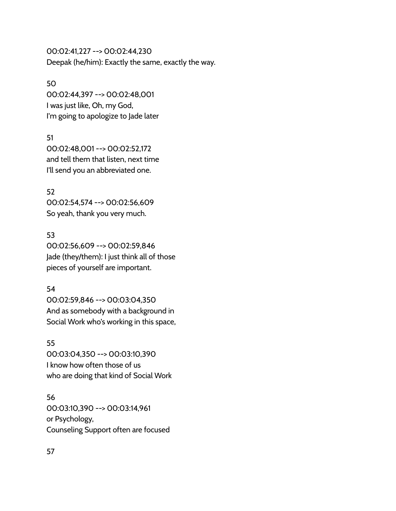00:02:41,227 --> 00:02:44,230 Deepak (he/him): Exactly the same, exactly the way.

## 50

00:02:44,397 --> 00:02:48,001 I was just like, Oh, my God, I'm going to apologize to Jade later

## 51

00:02:48,001 --> 00:02:52,172 and tell them that listen, next time I'll send you an abbreviated one.

## 52

00:02:54,574 --> 00:02:56,609 So yeah, thank you very much.

## 53

00:02:56,609 --> 00:02:59,846 Jade (they/them): I just think all of those pieces of yourself are important.

## 54

00:02:59,846 --> 00:03:04,350 And as somebody with a background in Social Work who's working in this space,

## 55

00:03:04,350 --> 00:03:10,390 I know how often those of us who are doing that kind of Social Work

## 56

00:03:10,390 --> 00:03:14,961 or Psychology, Counseling Support often are focused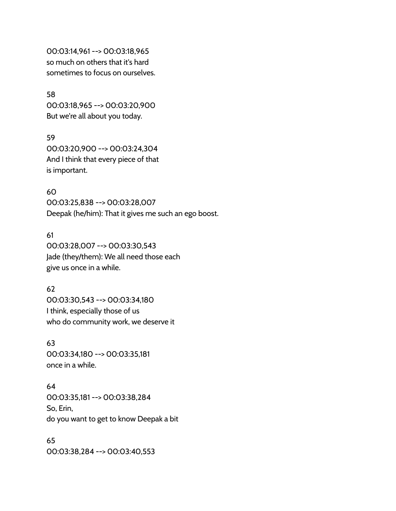00:03:14,961 --> 00:03:18,965 so much on others that it's hard sometimes to focus on ourselves.

58 00:03:18,965 --> 00:03:20,900 But we're all about you today.

59 00:03:20,900 --> 00:03:24,304 And I think that every piece of that is important.

60 00:03:25,838 --> 00:03:28,007 Deepak (he/him): That it gives me such an ego boost.

61 00:03:28,007 --> 00:03:30,543 Jade (they/them): We all need those each give us once in a while.

62 00:03:30,543 --> 00:03:34,180 I think, especially those of us who do community work, we deserve it

63 00:03:34,180 --> 00:03:35,181 once in a while.

64 00:03:35,181 --> 00:03:38,284 So, Erin, do you want to get to know Deepak a bit

65 00:03:38,284 --> 00:03:40,553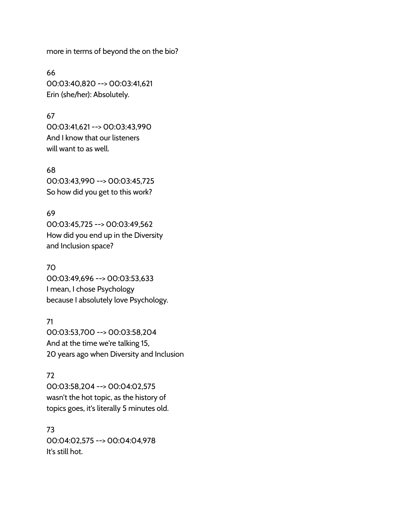more in terms of beyond the on the bio?

66 00:03:40,820 --> 00:03:41,621 Erin (she/her): Absolutely.

## 67

00:03:41,621 --> 00:03:43,990 And I know that our listeners will want to as well.

## 68

00:03:43,990 --> 00:03:45,725 So how did you get to this work?

## 69

00:03:45,725 --> 00:03:49,562 How did you end up in the Diversity and Inclusion space?

## 70

00:03:49,696 --> 00:03:53,633 I mean, I chose Psychology because I absolutely love Psychology.

## 71

00:03:53,700 --> 00:03:58,204 And at the time we're talking 15, 20 years ago when Diversity and Inclusion

## 72

00:03:58,204 --> 00:04:02,575 wasn't the hot topic, as the history of topics goes, it's literally 5 minutes old.

## 73

00:04:02,575 --> 00:04:04,978 It's still hot.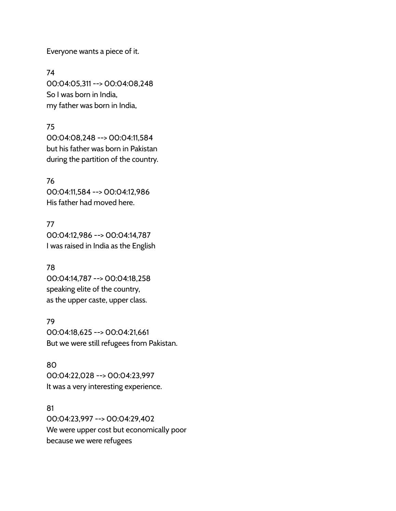Everyone wants a piece of it.

74 00:04:05,311 --> 00:04:08,248 So I was born in India, my father was born in India,

## 75

00:04:08,248 --> 00:04:11,584 but his father was born in Pakistan during the partition of the country.

76 00:04:11,584 --> 00:04:12,986 His father had moved here.

77 00:04:12,986 --> 00:04:14,787 I was raised in India as the English

# 78

00:04:14,787 --> 00:04:18,258 speaking elite of the country, as the upper caste, upper class.

## 79

00:04:18,625 --> 00:04:21,661 But we were still refugees from Pakistan.

## 80

00:04:22,028 --> 00:04:23,997 It was a very interesting experience.

## 81

00:04:23,997 --> 00:04:29,402 We were upper cost but economically poor because we were refugees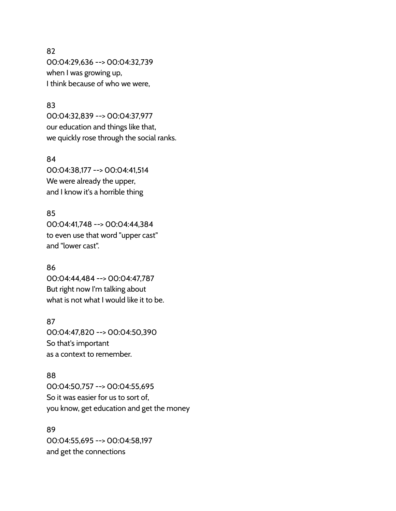## 82

00:04:29,636 --> 00:04:32,739 when I was growing up, I think because of who we were,

## 83

00:04:32,839 --> 00:04:37,977 our education and things like that, we quickly rose through the social ranks.

#### 84

00:04:38,177 --> 00:04:41,514 We were already the upper, and I know it's a horrible thing

## 85

00:04:41,748 --> 00:04:44,384 to even use that word "upper cast" and "lower cast".

## 86

00:04:44,484 --> 00:04:47,787 But right now I'm talking about what is not what I would like it to be.

## 87

00:04:47,820 --> 00:04:50,390 So that's important as a context to remember.

#### 88

00:04:50,757 --> 00:04:55,695 So it was easier for us to sort of, you know, get education and get the money

## 89

00:04:55,695 --> 00:04:58,197 and get the connections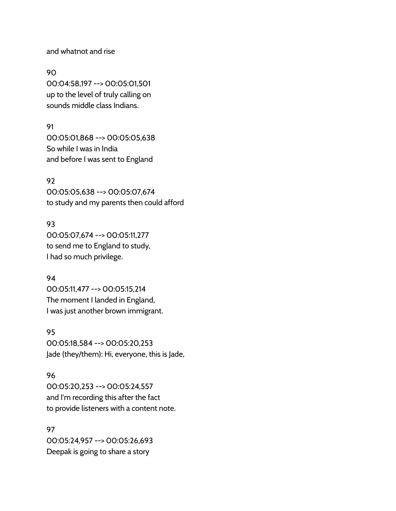and whatnot and rise

90 00:04:58,197 --> 00:05:01,501 up to the level of truly calling on sounds middle class Indians.

#### 91

00:05:01,868 --> 00:05:05,638 So while I was in India and before I was sent to England

## 92

00:05:05,638 --> 00:05:07,674 to study and my parents then could afford

## 93

00:05:07,674 --> 00:05:11,277 to send me to England to study, I had so much privilege.

## 94

00:05:11,477 --> 00:05:15,214 The moment I landed in England, I was just another brown immigrant.

#### 95

00:05:18,584 --> 00:05:20,253 Jade (they/them): Hi, everyone, this is Jade,

## 96

00:05:20,253 --> 00:05:24,557 and I'm recording this after the fact to provide listeners with a content note.

97 00:05:24,957 --> 00:05:26,693 Deepak is going to share a story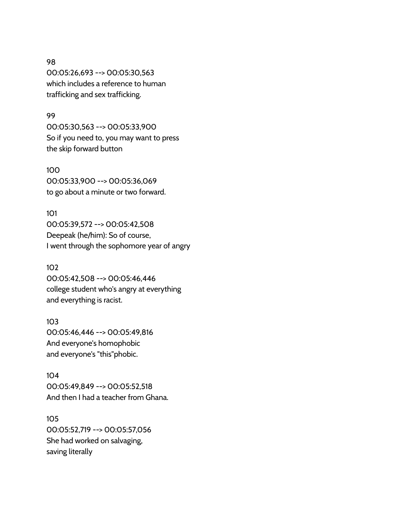98 00:05:26,693 --> 00:05:30,563 which includes a reference to human trafficking and sex trafficking.

#### 99

00:05:30,563 --> 00:05:33,900 So if you need to, you may want to press the skip forward button

100 00:05:33,900 --> 00:05:36,069 to go about a minute or two forward.

101 00:05:39,572 --> 00:05:42,508 Deepeak (he/him): So of course, I went through the sophomore year of angry

## 102

00:05:42,508 --> 00:05:46,446 college student who's angry at everything and everything is racist.

#### 103

00:05:46,446 --> 00:05:49,816 And everyone's homophobic and everyone's "this"phobic.

# 104

00:05:49,849 --> 00:05:52,518 And then I had a teacher from Ghana.

# 105

00:05:52,719 --> 00:05:57,056 She had worked on salvaging, saving literally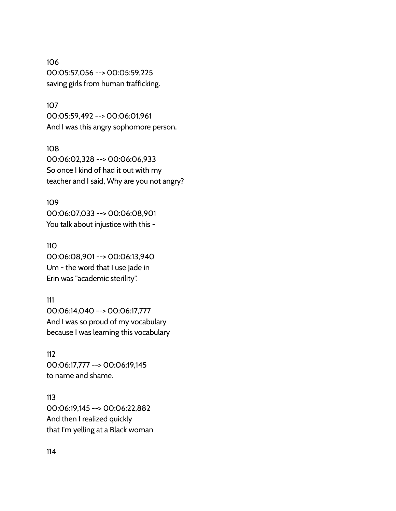106 00:05:57,056 --> 00:05:59,225 saving girls from human trafficking.

107

00:05:59,492 --> 00:06:01,961 And I was this angry sophomore person.

108

00:06:02,328 --> 00:06:06,933 So once I kind of had it out with my teacher and I said, Why are you not angry?

109 00:06:07,033 --> 00:06:08,901 You talk about injustice with this -

110 00:06:08,901 --> 00:06:13,940 Um - the word that I use Jade in Erin was "academic sterility".

111 00:06:14,040 --> 00:06:17,777 And I was so proud of my vocabulary because I was learning this vocabulary

112 00:06:17,777 --> 00:06:19,145 to name and shame.

113 00:06:19,145 --> 00:06:22,882 And then I realized quickly that I'm yelling at a Black woman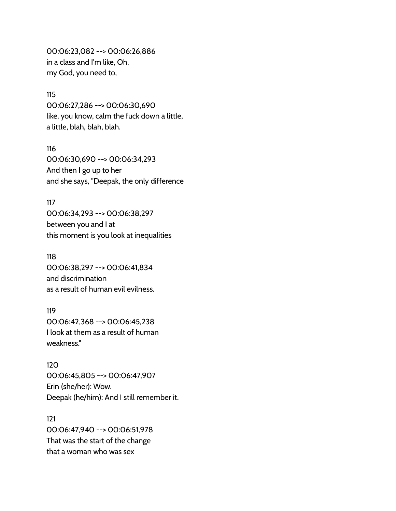00:06:23,082 --> 00:06:26,886 in a class and I'm like, Oh, my God, you need to,

#### 115

00:06:27,286 --> 00:06:30,690 like, you know, calm the fuck down a little, a little, blah, blah, blah.

116 00:06:30,690 --> 00:06:34,293 And then I go up to her and she says, "Deepak, the only difference

### 117

00:06:34,293 --> 00:06:38,297 between you and I at this moment is you look at inequalities

118

00:06:38,297 --> 00:06:41,834 and discrimination as a result of human evil evilness.

## 119

00:06:42,368 --> 00:06:45,238 I look at them as a result of human weakness."

#### 120

00:06:45,805 --> 00:06:47,907 Erin (she/her): Wow. Deepak (he/him): And I still remember it.

#### 121

00:06:47,940 --> 00:06:51,978 That was the start of the change that a woman who was sex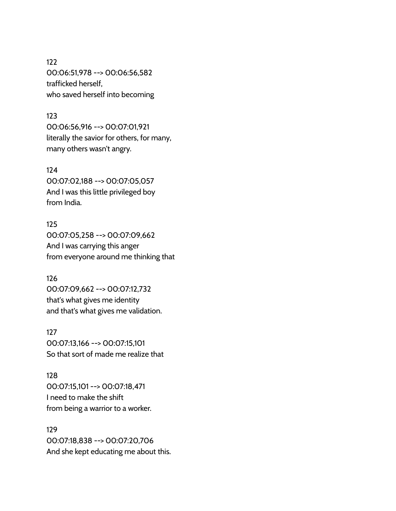122 00:06:51,978 --> 00:06:56,582 trafficked herself, who saved herself into becoming

#### 123

00:06:56,916 --> 00:07:01,921 literally the savior for others, for many, many others wasn't angry.

### 124

00:07:02,188 --> 00:07:05,057 And I was this little privileged boy from India.

# 125 00:07:05,258 --> 00:07:09,662

And I was carrying this anger from everyone around me thinking that

# 126

00:07:09,662 --> 00:07:12,732 that's what gives me identity and that's what gives me validation.

# 127 00:07:13,166 --> 00:07:15,101 So that sort of made me realize that

# 128 00:07:15,101 --> 00:07:18,471 I need to make the shift from being a warrior to a worker.

# 129 00:07:18,838 --> 00:07:20,706 And she kept educating me about this.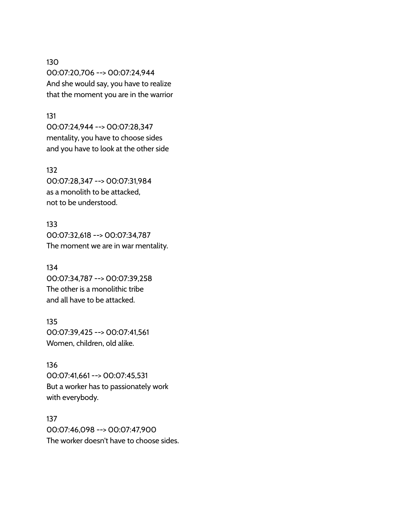130 00:07:20,706 --> 00:07:24,944 And she would say, you have to realize that the moment you are in the warrior

#### 131

00:07:24,944 --> 00:07:28,347 mentality, you have to choose sides and you have to look at the other side

#### 132

00:07:28,347 --> 00:07:31,984 as a monolith to be attacked, not to be understood.

133 00:07:32,618 --> 00:07:34,787 The moment we are in war mentality.

134 00:07:34,787 --> 00:07:39,258 The other is a monolithic tribe and all have to be attacked.

135 00:07:39,425 --> 00:07:41,561 Women, children, old alike.

136 00:07:41,661 --> 00:07:45,531 But a worker has to passionately work with everybody.

137 00:07:46,098 --> 00:07:47,900 The worker doesn't have to choose sides.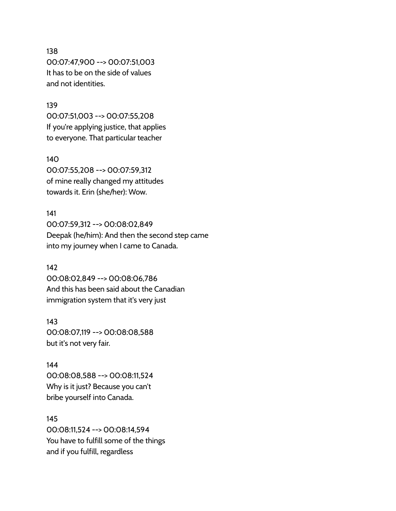## 138

00:07:47,900 --> 00:07:51,003 It has to be on the side of values and not identities.

#### 139

00:07:51,003 --> 00:07:55,208 If you're applying justice, that applies to everyone. That particular teacher

#### 140

00:07:55,208 --> 00:07:59,312 of mine really changed my attitudes towards it. Erin (she/her): Wow.

#### 141

00:07:59,312 --> 00:08:02,849 Deepak (he/him): And then the second step came into my journey when I came to Canada.

#### 142

00:08:02,849 --> 00:08:06,786 And this has been said about the Canadian immigration system that it's very just

#### 143

00:08:07,119 --> 00:08:08,588 but it's not very fair.

#### 144

00:08:08,588 --> 00:08:11,524 Why is it just? Because you can't bribe yourself into Canada.

#### 145

00:08:11,524 --> 00:08:14,594 You have to fulfill some of the things and if you fulfill, regardless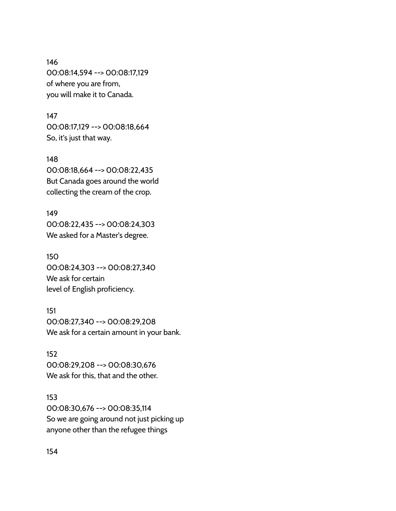146 00:08:14,594 --> 00:08:17,129 of where you are from, you will make it to Canada.

147 00:08:17,129 --> 00:08:18,664 So, it's just that way.

148 00:08:18,664 --> 00:08:22,435 But Canada goes around the world collecting the cream of the crop.

149 00:08:22,435 --> 00:08:24,303 We asked for a Master's degree.

150 00:08:24,303 --> 00:08:27,340 We ask for certain level of English proficiency.

151 00:08:27,340 --> 00:08:29,208 We ask for a certain amount in your bank.

152 00:08:29,208 --> 00:08:30,676 We ask for this, that and the other.

153 00:08:30,676 --> 00:08:35,114 So we are going around not just picking up anyone other than the refugee things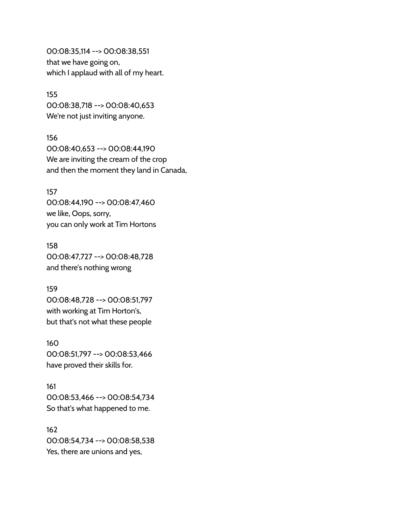00:08:35,114 --> 00:08:38,551 that we have going on, which I applaud with all of my heart.

155 00:08:38,718 --> 00:08:40,653 We're not just inviting anyone.

156 00:08:40,653 --> 00:08:44,190 We are inviting the cream of the crop and then the moment they land in Canada,

157 00:08:44,190 --> 00:08:47,460 we like, Oops, sorry, you can only work at Tim Hortons

158 00:08:47,727 --> 00:08:48,728 and there's nothing wrong

159 00:08:48,728 --> 00:08:51,797 with working at Tim Horton's, but that's not what these people

160 00:08:51,797 --> 00:08:53,466 have proved their skills for.

161 00:08:53,466 --> 00:08:54,734 So that's what happened to me.

162 00:08:54,734 --> 00:08:58,538 Yes, there are unions and yes,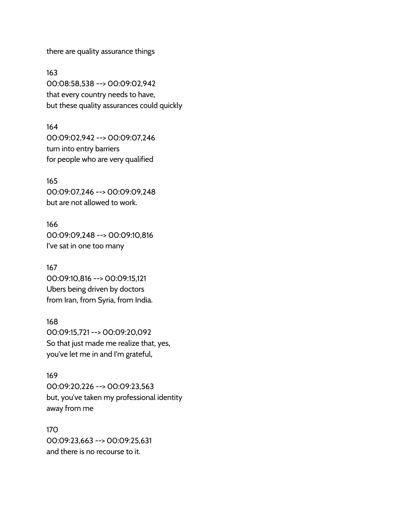there are quality assurance things

163 00:08:58,538 --> 00:09:02,942 that every country needs to have, but these quality assurances could quickly

164 00:09:02,942 --> 00:09:07,246 turn into entry barriers for people who are very qualified

165 00:09:07,246 --> 00:09:09,248 but are not allowed to work.

166 00:09:09,248 --> 00:09:10,816 I've sat in one too many

167 00:09:10,816 --> 00:09:15,121 Ubers being driven by doctors from Iran, from Syria, from India.

168 00:09:15,721 --> 00:09:20,092 So that just made me realize that, yes, you've let me in and I'm grateful,

169 00:09:20,226 --> 00:09:23,563 but, you've taken my professional identity away from me

170 00:09:23,663 --> 00:09:25,631 and there is no recourse to it.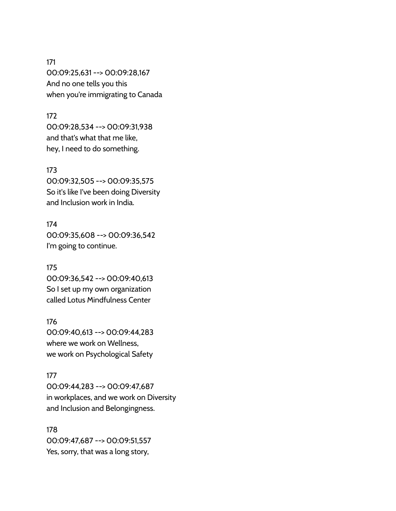171 00:09:25,631 --> 00:09:28,167 And no one tells you this when you're immigrating to Canada

#### 172

00:09:28,534 --> 00:09:31,938 and that's what that me like, hey, I need to do something.

## 173

00:09:32,505 --> 00:09:35,575 So it's like I've been doing Diversity and Inclusion work in India.

174 00:09:35,608 --> 00:09:36,542 I'm going to continue.

175 00:09:36,542 --> 00:09:40,613 So I set up my own organization called Lotus Mindfulness Center

176 00:09:40,613 --> 00:09:44,283 where we work on Wellness, we work on Psychological Safety

#### 177

00:09:44,283 --> 00:09:47,687 in workplaces, and we work on Diversity and Inclusion and Belongingness.

178 00:09:47,687 --> 00:09:51,557 Yes, sorry, that was a long story,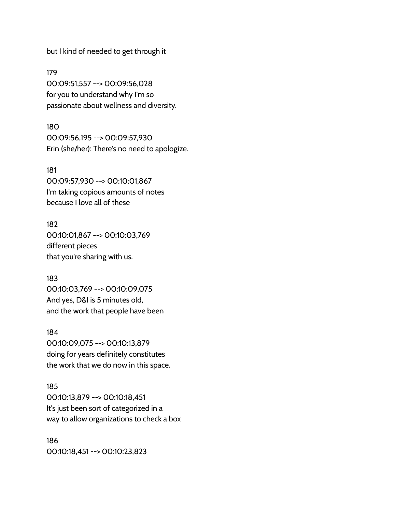but I kind of needed to get through it

179 00:09:51,557 --> 00:09:56,028 for you to understand why I'm so passionate about wellness and diversity.

180 00:09:56,195 --> 00:09:57,930 Erin (she/her): There's no need to apologize.

181 00:09:57,930 --> 00:10:01,867 I'm taking copious amounts of notes because I love all of these

182 00:10:01,867 --> 00:10:03,769 different pieces that you're sharing with us.

183 00:10:03,769 --> 00:10:09,075 And yes, D&I is 5 minutes old, and the work that people have been

184 00:10:09,075 --> 00:10:13,879 doing for years definitely constitutes the work that we do now in this space.

185 00:10:13,879 --> 00:10:18,451 It's just been sort of categorized in a way to allow organizations to check a box

186 00:10:18,451 --> 00:10:23,823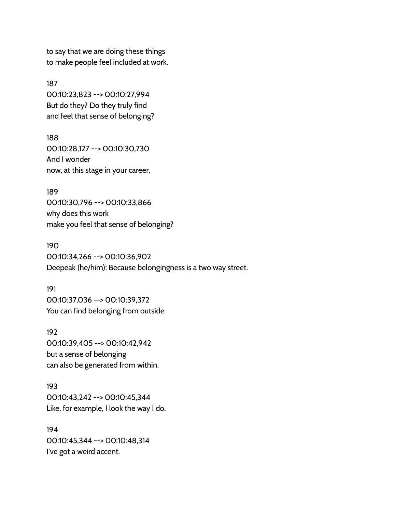to say that we are doing these things to make people feel included at work.

187 00:10:23,823 --> 00:10:27,994 But do they? Do they truly find and feel that sense of belonging?

188 00:10:28,127 --> 00:10:30,730 And I wonder now, at this stage in your career,

189 00:10:30,796 --> 00:10:33,866 why does this work make you feel that sense of belonging?

190 00:10:34,266 --> 00:10:36,902 Deepeak (he/him): Because belongingness is a two way street.

191 00:10:37,036 --> 00:10:39,372 You can find belonging from outside

192 00:10:39,405 --> 00:10:42,942 but a sense of belonging can also be generated from within.

193 00:10:43,242 --> 00:10:45,344 Like, for example, I look the way I do.

194 00:10:45,344 --> 00:10:48,314 I've got a weird accent.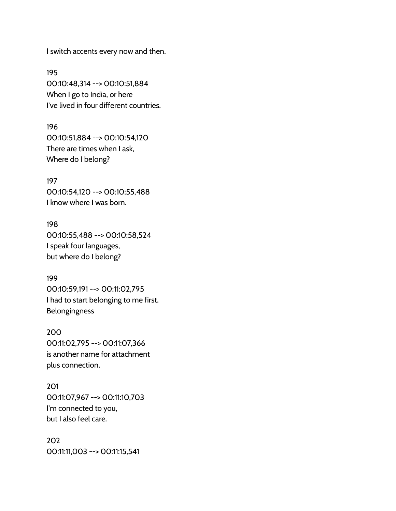I switch accents every now and then.

195 00:10:48,314 --> 00:10:51,884 When I go to India, or here I've lived in four different countries.

196 00:10:51,884 --> 00:10:54,120 There are times when I ask, Where do I belong?

197 00:10:54,120 --> 00:10:55,488 I know where I was born.

198 00:10:55,488 --> 00:10:58,524 I speak four languages, but where do I belong?

199 00:10:59,191 --> 00:11:02,795 I had to start belonging to me first. Belongingness

200 00:11:02,795 --> 00:11:07,366 is another name for attachment plus connection.

201 00:11:07,967 --> 00:11:10,703 I'm connected to you, but I also feel care.

202 00:11:11,003 --> 00:11:15,541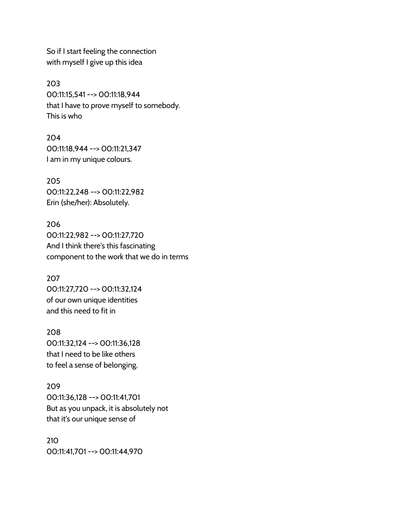So if I start feeling the connection with myself I give up this idea

203 00:11:15,541 --> 00:11:18,944 that I have to prove myself to somebody. This is who

204 00:11:18,944 --> 00:11:21,347 I am in my unique colours.

205 00:11:22,248 --> 00:11:22,982 Erin (she/her): Absolutely.

206 00:11:22,982 --> 00:11:27,720 And I think there's this fascinating component to the work that we do in terms

207 00:11:27,720 --> 00:11:32,124 of our own unique identities and this need to fit in

208 00:11:32,124 --> 00:11:36,128 that I need to be like others to feel a sense of belonging.

209 00:11:36,128 --> 00:11:41,701 But as you unpack, it is absolutely not that it's our unique sense of

210 00:11:41,701 --> 00:11:44,970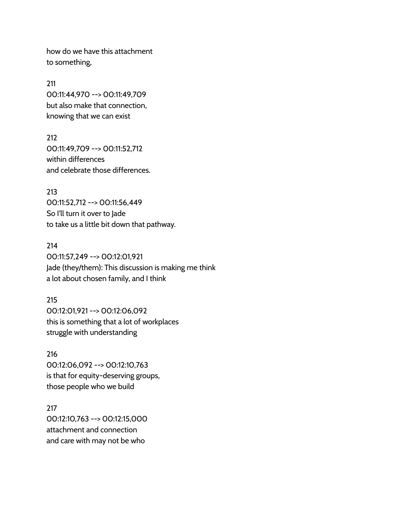how do we have this attachment to something,

211 00:11:44,970 --> 00:11:49,709 but also make that connection, knowing that we can exist

212 00:11:49,709 --> 00:11:52,712 within differences and celebrate those differences.

213 00:11:52,712 --> 00:11:56,449 So I'll turn it over to Jade to take us a little bit down that pathway.

214 00:11:57,249 --> 00:12:01,921 Jade (they/them): This discussion is making me think a lot about chosen family, and I think

215 00:12:01,921 --> 00:12:06,092 this is something that a lot of workplaces struggle with understanding

216 00:12:06,092 --> 00:12:10,763 is that for equity-deserving groups, those people who we build

217 00:12:10,763 --> 00:12:15,000 attachment and connection and care with may not be who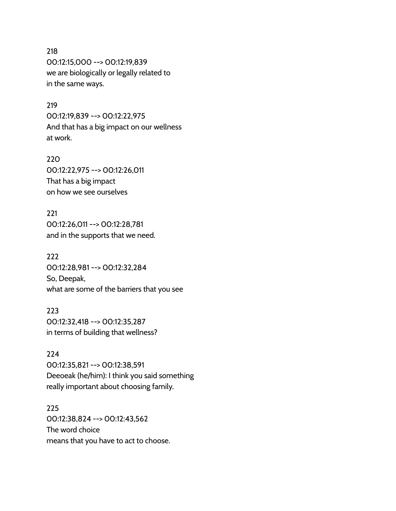## 218

00:12:15,000 --> 00:12:19,839 we are biologically or legally related to in the same ways.

#### 219

00:12:19,839 --> 00:12:22,975 And that has a big impact on our wellness at work.

220 00:12:22,975 --> 00:12:26,011 That has a big impact on how we see ourselves

221 00:12:26,011 --> 00:12:28,781 and in the supports that we need.

222 00:12:28,981 --> 00:12:32,284 So, Deepak, what are some of the barriers that you see

223 00:12:32,418 --> 00:12:35,287 in terms of building that wellness?

224 00:12:35,821 --> 00:12:38,591 Deeoeak (he/him): I think you said something really important about choosing family.

225 00:12:38,824 --> 00:12:43,562 The word choice means that you have to act to choose.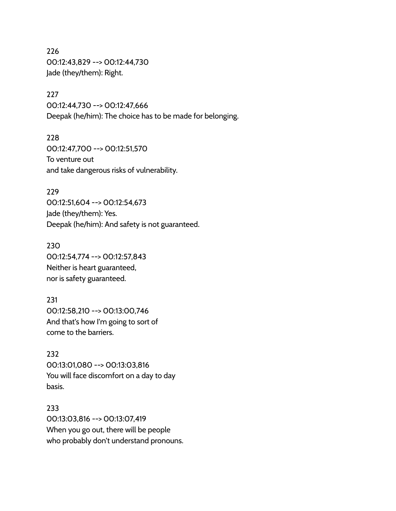226 00:12:43,829 --> 00:12:44,730 Jade (they/them): Right.

227 00:12:44,730 --> 00:12:47,666 Deepak (he/him): The choice has to be made for belonging.

228 00:12:47,700 --> 00:12:51,570 To venture out and take dangerous risks of vulnerability.

229 00:12:51,604 --> 00:12:54,673 Jade (they/them): Yes. Deepak (he/him): And safety is not guaranteed.

230 00:12:54,774 --> 00:12:57,843 Neither is heart guaranteed, nor is safety guaranteed.

231 00:12:58,210 --> 00:13:00,746 And that's how I'm going to sort of come to the barriers.

232 00:13:01,080 --> 00:13:03,816 You will face discomfort on a day to day basis.

233 00:13:03,816 --> 00:13:07,419 When you go out, there will be people who probably don't understand pronouns.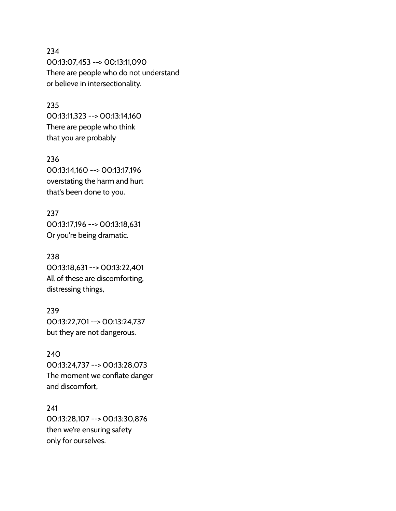234 00:13:07,453 --> 00:13:11,090 There are people who do not understand or believe in intersectionality.

#### 235

00:13:11,323 --> 00:13:14,160 There are people who think that you are probably

236 00:13:14,160 --> 00:13:17,196 overstating the harm and hurt that's been done to you.

237 00:13:17,196 --> 00:13:18,631 Or you're being dramatic.

238 00:13:18,631 --> 00:13:22,401 All of these are discomforting, distressing things,

239 00:13:22,701 --> 00:13:24,737 but they are not dangerous.

240 00:13:24,737 --> 00:13:28,073 The moment we conflate danger and discomfort,

241 00:13:28,107 --> 00:13:30,876 then we're ensuring safety only for ourselves.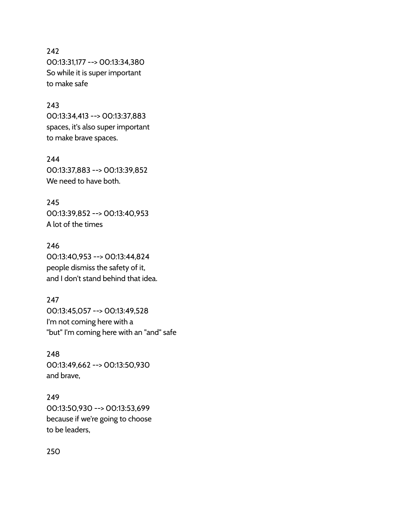# 242 00:13:31,177 --> 00:13:34,380 So while it is super important to make safe

## 243

00:13:34,413 --> 00:13:37,883 spaces, it's also super important to make brave spaces.

244 00:13:37,883 --> 00:13:39,852 We need to have both.

245 00:13:39,852 --> 00:13:40,953 A lot of the times

246 00:13:40,953 --> 00:13:44,824 people dismiss the safety of it, and I don't stand behind that idea.

247 00:13:45,057 --> 00:13:49,528 I'm not coming here with a "but" I'm coming here with an "and" safe

248 00:13:49,662 --> 00:13:50,930 and brave,

249 00:13:50,930 --> 00:13:53,699 because if we're going to choose to be leaders,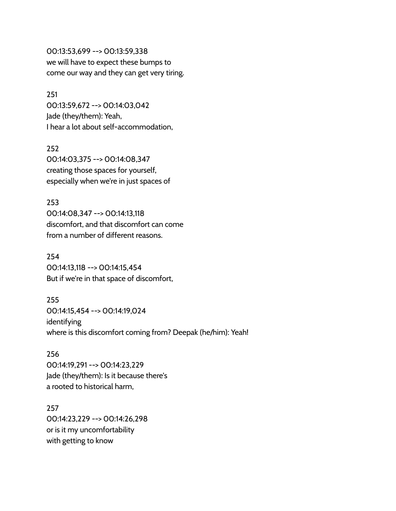00:13:53,699 --> 00:13:59,338 we will have to expect these bumps to come our way and they can get very tiring.

251 00:13:59,672 --> 00:14:03,042 Jade (they/them): Yeah, I hear a lot about self-accommodation,

252 00:14:03,375 --> 00:14:08,347 creating those spaces for yourself, especially when we're in just spaces of

253 00:14:08,347 --> 00:14:13,118 discomfort, and that discomfort can come from a number of different reasons.

254 00:14:13,118 --> 00:14:15,454 But if we're in that space of discomfort,

255 00:14:15,454 --> 00:14:19,024 identifying where is this discomfort coming from? Deepak (he/him): Yeah!

256 00:14:19,291 --> 00:14:23,229 Jade (they/them): Is it because there's a rooted to historical harm,

257 00:14:23,229 --> 00:14:26,298 or is it my uncomfortability with getting to know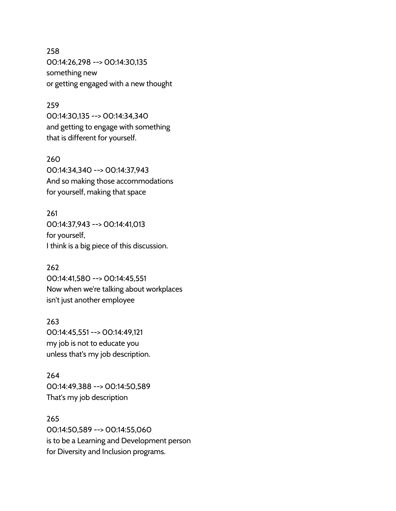# 258 00:14:26,298 --> 00:14:30,135 something new or getting engaged with a new thought

## 259

00:14:30,135 --> 00:14:34,340 and getting to engage with something that is different for yourself.

#### 260

00:14:34,340 --> 00:14:37,943 And so making those accommodations for yourself, making that space

261

00:14:37,943 --> 00:14:41,013 for yourself, I think is a big piece of this discussion.

## 262

00:14:41,580 --> 00:14:45,551 Now when we're talking about workplaces isn't just another employee

## 263

00:14:45,551 --> 00:14:49,121 my job is not to educate you unless that's my job description.

# 264 00:14:49,388 --> 00:14:50,589 That's my job description

265 00:14:50,589 --> 00:14:55,060 is to be a Learning and Development person for Diversity and Inclusion programs.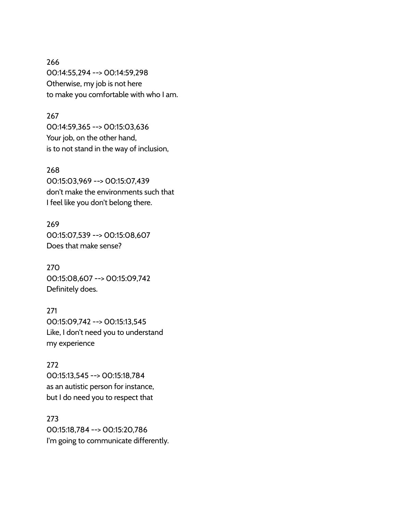266 00:14:55,294 --> 00:14:59,298 Otherwise, my job is not here to make you comfortable with who I am.

#### 267

00:14:59,365 --> 00:15:03,636 Your job, on the other hand, is to not stand in the way of inclusion,

#### 268

00:15:03,969 --> 00:15:07,439 don't make the environments such that I feel like you don't belong there.

269 00:15:07,539 --> 00:15:08,607 Does that make sense?

270 00:15:08,607 --> 00:15:09,742 Definitely does.

## 271

00:15:09,742 --> 00:15:13,545 Like, I don't need you to understand my experience

272

00:15:13,545 --> 00:15:18,784 as an autistic person for instance, but I do need you to respect that

273 00:15:18,784 --> 00:15:20,786 I'm going to communicate differently.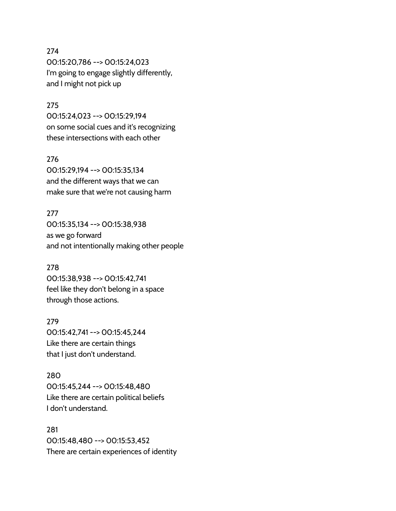## 274

00:15:20,786 --> 00:15:24,023 I'm going to engage slightly differently, and I might not pick up

## 275

00:15:24,023 --> 00:15:29,194 on some social cues and it's recognizing these intersections with each other

#### 276

00:15:29,194 --> 00:15:35,134 and the different ways that we can make sure that we're not causing harm

#### 277

00:15:35,134 --> 00:15:38,938 as we go forward and not intentionally making other people

#### 278

00:15:38,938 --> 00:15:42,741 feel like they don't belong in a space through those actions.

#### 279

00:15:42,741 --> 00:15:45,244 Like there are certain things that I just don't understand.

#### 280

00:15:45,244 --> 00:15:48,480 Like there are certain political beliefs I don't understand.

# 281 00:15:48,480 --> 00:15:53,452 There are certain experiences of identity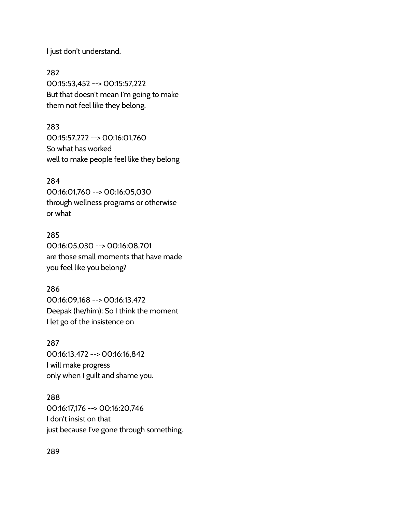I just don't understand.

282 00:15:53,452 --> 00:15:57,222 But that doesn't mean I'm going to make them not feel like they belong.

283 00:15:57,222 --> 00:16:01,760 So what has worked well to make people feel like they belong

## 284

00:16:01,760 --> 00:16:05,030 through wellness programs or otherwise or what

## 285

00:16:05,030 --> 00:16:08,701 are those small moments that have made you feel like you belong?

## 286

00:16:09,168 --> 00:16:13,472 Deepak (he/him): So I think the moment I let go of the insistence on

#### 287

00:16:13,472 --> 00:16:16,842 I will make progress only when I guilt and shame you.

#### 288

00:16:17,176 --> 00:16:20,746 I don't insist on that just because I've gone through something.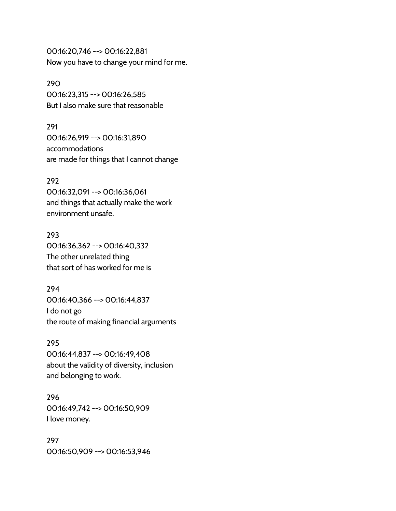00:16:20,746 --> 00:16:22,881 Now you have to change your mind for me.

290 00:16:23,315 --> 00:16:26,585 But I also make sure that reasonable

291 00:16:26,919 --> 00:16:31,890 accommodations are made for things that I cannot change

## 292

00:16:32,091 --> 00:16:36,061 and things that actually make the work environment unsafe.

293 00:16:36,362 --> 00:16:40,332 The other unrelated thing that sort of has worked for me is

294 00:16:40,366 --> 00:16:44,837 I do not go the route of making financial arguments

295

00:16:44,837 --> 00:16:49,408 about the validity of diversity, inclusion and belonging to work.

296 00:16:49,742 --> 00:16:50,909 I love money.

297 00:16:50,909 --> 00:16:53,946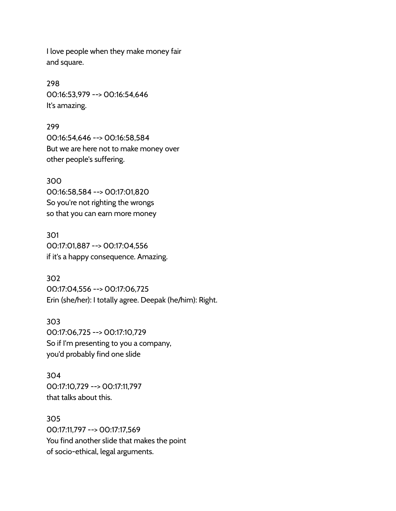I love people when they make money fair and square.

298 00:16:53,979 --> 00:16:54,646 It's amazing.

299 00:16:54,646 --> 00:16:58,584 But we are here not to make money over other people's suffering.

300 00:16:58,584 --> 00:17:01,820 So you're not righting the wrongs so that you can earn more money

301 00:17:01,887 --> 00:17:04,556 if it's a happy consequence. Amazing.

302 00:17:04,556 --> 00:17:06,725 Erin (she/her): I totally agree. Deepak (he/him): Right.

303 00:17:06,725 --> 00:17:10,729 So if I'm presenting to you a company, you'd probably find one slide

304 00:17:10,729 --> 00:17:11,797 that talks about this.

305 00:17:11,797 --> 00:17:17,569 You find another slide that makes the point of socio-ethical, legal arguments.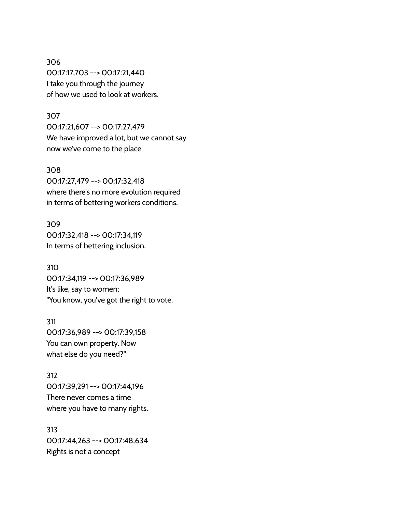306 00:17:17,703 --> 00:17:21,440 I take you through the journey of how we used to look at workers.

#### 307

00:17:21,607 --> 00:17:27,479 We have improved a lot, but we cannot say now we've come to the place

#### 308

00:17:27,479 --> 00:17:32,418 where there's no more evolution required in terms of bettering workers conditions.

309 00:17:32,418 --> 00:17:34,119 In terms of bettering inclusion.

310 00:17:34,119 --> 00:17:36,989 It's like, say to women; "You know, you've got the right to vote.

# 311 00:17:36,989 --> 00:17:39,158 You can own property. Now what else do you need?"

312 00:17:39,291 --> 00:17:44,196 There never comes a time where you have to many rights.

313 00:17:44,263 --> 00:17:48,634 Rights is not a concept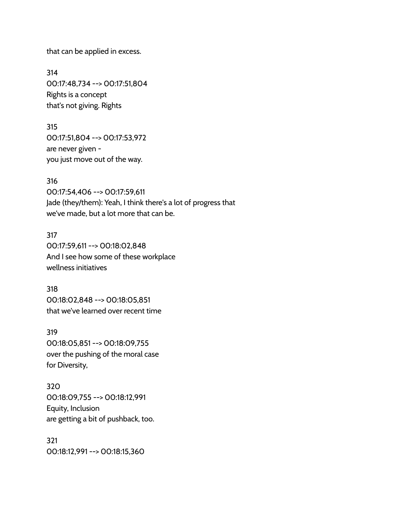that can be applied in excess.

314 00:17:48,734 --> 00:17:51,804 Rights is a concept that's not giving. Rights

315 00:17:51,804 --> 00:17:53,972 are never given you just move out of the way.

316 00:17:54,406 --> 00:17:59,611 Jade (they/them): Yeah, I think there's a lot of progress that we've made, but a lot more that can be.

317 00:17:59,611 --> 00:18:02,848 And I see how some of these workplace wellness initiatives

318 00:18:02,848 --> 00:18:05,851 that we've learned over recent time

319 00:18:05,851 --> 00:18:09,755 over the pushing of the moral case for Diversity,

320 00:18:09,755 --> 00:18:12,991 Equity, Inclusion are getting a bit of pushback, too.

321 00:18:12,991 --> 00:18:15,360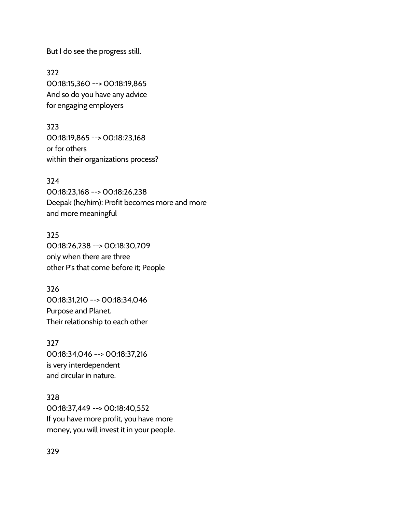But I do see the progress still.

322 00:18:15,360 --> 00:18:19,865 And so do you have any advice for engaging employers

323 00:18:19,865 --> 00:18:23,168 or for others within their organizations process?

324 00:18:23,168 --> 00:18:26,238 Deepak (he/him): Profit becomes more and more and more meaningful

325 00:18:26,238 --> 00:18:30,709 only when there are three other P's that come before it; People

326 00:18:31,210 --> 00:18:34,046 Purpose and Planet. Their relationship to each other

327 00:18:34,046 --> 00:18:37,216 is very interdependent and circular in nature.

328 00:18:37,449 --> 00:18:40,552 If you have more profit, you have more money, you will invest it in your people.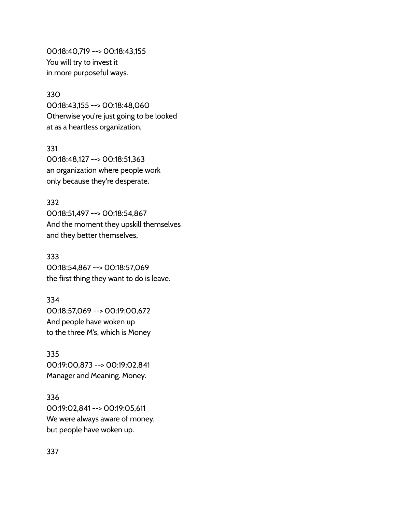00:18:40,719 --> 00:18:43,155 You will try to invest it in more purposeful ways.

#### 330

00:18:43,155 --> 00:18:48,060 Otherwise you're just going to be looked at as a heartless organization,

331 00:18:48,127 --> 00:18:51,363 an organization where people work only because they're desperate.

## 332

00:18:51,497 --> 00:18:54,867 And the moment they upskill themselves and they better themselves,

#### 333

00:18:54,867 --> 00:18:57,069 the first thing they want to do is leave.

#### 334

00:18:57,069 --> 00:19:00,672 And people have woken up to the three M's, which is Money

335 00:19:00,873 --> 00:19:02,841 Manager and Meaning. Money.

336 00:19:02,841 --> 00:19:05,611 We were always aware of money, but people have woken up.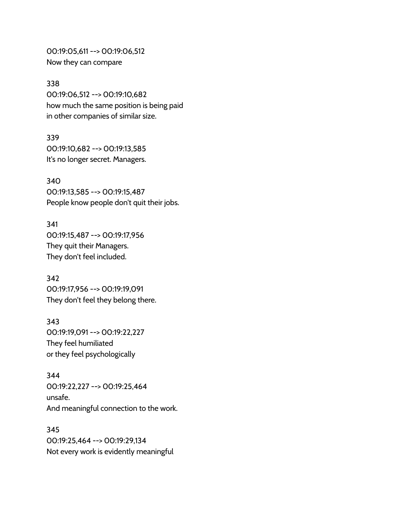00:19:05,611 --> 00:19:06,512 Now they can compare

#### 338

00:19:06,512 --> 00:19:10,682 how much the same position is being paid in other companies of similar size.

#### 339

00:19:10,682 --> 00:19:13,585 It's no longer secret. Managers.

340 00:19:13,585 --> 00:19:15,487 People know people don't quit their jobs.

341 00:19:15,487 --> 00:19:17,956 They quit their Managers. They don't feel included.

342 00:19:17,956 --> 00:19:19,091 They don't feel they belong there.

343 00:19:19,091 --> 00:19:22,227 They feel humiliated or they feel psychologically

344 00:19:22,227 --> 00:19:25,464 unsafe. And meaningful connection to the work.

345 00:19:25,464 --> 00:19:29,134 Not every work is evidently meaningful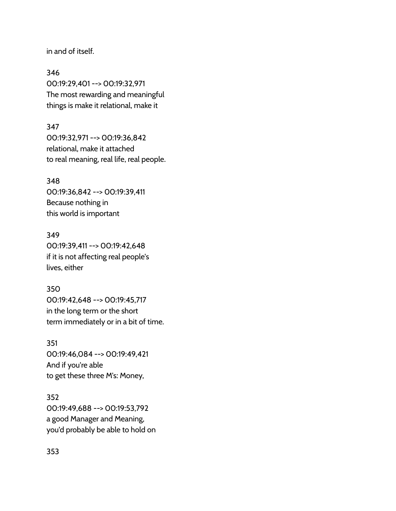in and of itself.

346 00:19:29,401 --> 00:19:32,971 The most rewarding and meaningful things is make it relational, make it

347 00:19:32,971 --> 00:19:36,842 relational, make it attached to real meaning, real life, real people.

348 00:19:36,842 --> 00:19:39,411 Because nothing in this world is important

349 00:19:39,411 --> 00:19:42,648 if it is not affecting real people's lives, either

350 00:19:42,648 --> 00:19:45,717 in the long term or the short term immediately or in a bit of time.

351 00:19:46,084 --> 00:19:49,421 And if you're able to get these three M's: Money,

352 00:19:49,688 --> 00:19:53,792 a good Manager and Meaning, you'd probably be able to hold on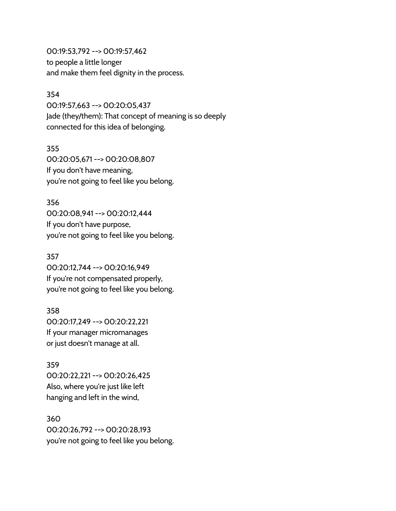00:19:53,792 --> 00:19:57,462 to people a little longer and make them feel dignity in the process.

#### 354

00:19:57,663 --> 00:20:05,437 Jade (they/them): That concept of meaning is so deeply connected for this idea of belonging.

355 00:20:05,671 --> 00:20:08,807 If you don't have meaning, you're not going to feel like you belong.

#### 356

00:20:08,941 --> 00:20:12,444 If you don't have purpose, you're not going to feel like you belong.

## 357

00:20:12,744 --> 00:20:16,949 If you're not compensated properly, you're not going to feel like you belong.

## 358

00:20:17,249 --> 00:20:22,221 If your manager micromanages or just doesn't manage at all.

359

00:20:22,221 --> 00:20:26,425 Also, where you're just like left hanging and left in the wind,

360 00:20:26,792 --> 00:20:28,193 you're not going to feel like you belong.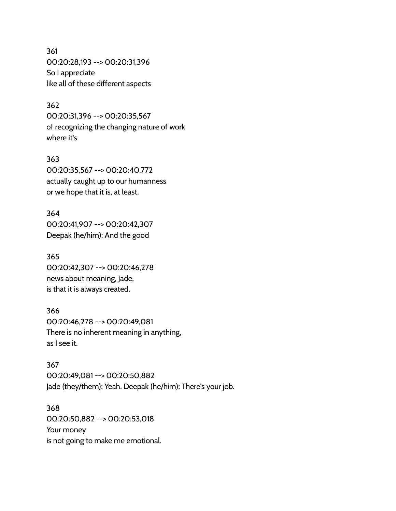361 00:20:28,193 --> 00:20:31,396 So I appreciate like all of these different aspects

## 362

00:20:31,396 --> 00:20:35,567 of recognizing the changing nature of work where it's

#### 363

00:20:35,567 --> 00:20:40,772 actually caught up to our humanness or we hope that it is, at least.

#### 364

00:20:41,907 --> 00:20:42,307 Deepak (he/him): And the good

#### 365

00:20:42,307 --> 00:20:46,278 news about meaning, Jade, is that it is always created.

## 366

00:20:46,278 --> 00:20:49,081 There is no inherent meaning in anything, as I see it.

#### 367

00:20:49,081 --> 00:20:50,882 Jade (they/them): Yeah. Deepak (he/him): There's your job.

368 00:20:50,882 --> 00:20:53,018 Your money is not going to make me emotional.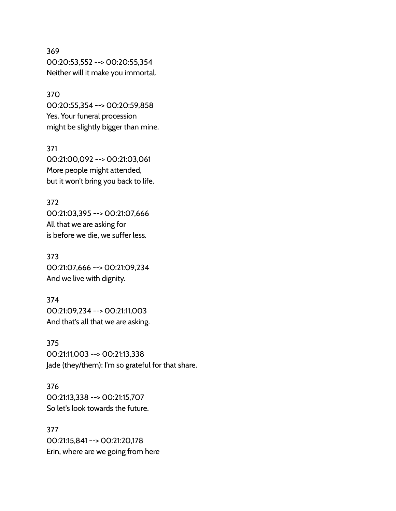# 369 00:20:53,552 --> 00:20:55,354 Neither will it make you immortal.

370 00:20:55,354 --> 00:20:59,858 Yes. Your funeral procession might be slightly bigger than mine.

371 00:21:00,092 --> 00:21:03,061 More people might attended, but it won't bring you back to life.

372 00:21:03,395 --> 00:21:07,666 All that we are asking for is before we die, we suffer less.

373 00:21:07,666 --> 00:21:09,234 And we live with dignity.

374 00:21:09,234 --> 00:21:11,003 And that's all that we are asking.

375 00:21:11,003 --> 00:21:13,338 Jade (they/them): I'm so grateful for that share.

376 00:21:13,338 --> 00:21:15,707 So let's look towards the future.

377 00:21:15,841 --> 00:21:20,178 Erin, where are we going from here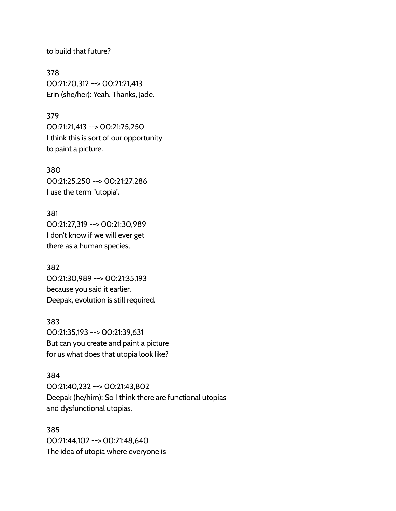to build that future?

378 00:21:20,312 --> 00:21:21,413 Erin (she/her): Yeah. Thanks, Jade.

#### 379

00:21:21,413 --> 00:21:25,250 I think this is sort of our opportunity to paint a picture.

380 00:21:25,250 --> 00:21:27,286 I use the term "utopia".

381 00:21:27,319 --> 00:21:30,989 I don't know if we will ever get there as a human species,

382 00:21:30,989 --> 00:21:35,193 because you said it earlier, Deepak, evolution is still required.

383 00:21:35,193 --> 00:21:39,631 But can you create and paint a picture for us what does that utopia look like?

## 384

00:21:40,232 --> 00:21:43,802 Deepak (he/him): So I think there are functional utopias and dysfunctional utopias.

385 00:21:44,102 --> 00:21:48,640 The idea of utopia where everyone is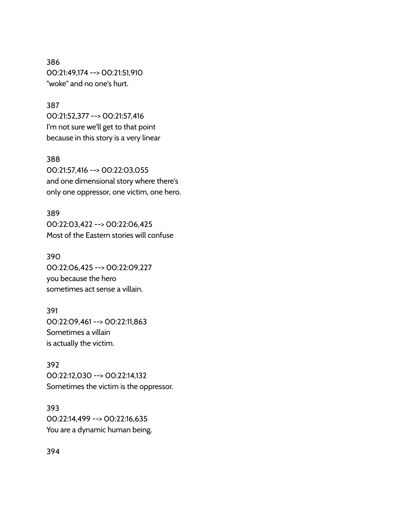386 00:21:49,174 --> 00:21:51,910 "woke" and no one's hurt.

#### 387

00:21:52,377 --> 00:21:57,416 I'm not sure we'll get to that point because in this story is a very linear

#### 388

00:21:57,416 --> 00:22:03,055 and one dimensional story where there's only one oppressor, one victim, one hero.

#### 389

00:22:03,422 --> 00:22:06,425 Most of the Eastern stories will confuse

## 390

00:22:06,425 --> 00:22:09,227 you because the hero sometimes act sense a villain.

#### 391

00:22:09,461 --> 00:22:11,863 Sometimes a villain is actually the victim.

392 00:22:12,030 --> 00:22:14,132 Sometimes the victim is the oppressor.

393 00:22:14,499 --> 00:22:16,635 You are a dynamic human being.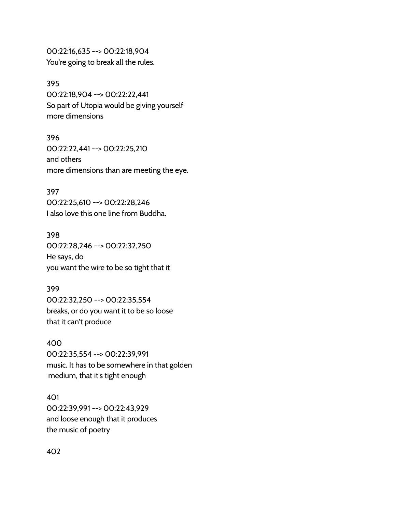00:22:16,635 --> 00:22:18,904 You're going to break all the rules.

#### 395

00:22:18,904 --> 00:22:22,441 So part of Utopia would be giving yourself more dimensions

396

00:22:22,441 --> 00:22:25,210 and others more dimensions than are meeting the eye.

#### 397

00:22:25,610 --> 00:22:28,246 I also love this one line from Buddha.

398

00:22:28,246 --> 00:22:32,250 He says, do you want the wire to be so tight that it

## 399

00:22:32,250 --> 00:22:35,554 breaks, or do you want it to be so loose that it can't produce

#### 400

00:22:35,554 --> 00:22:39,991 music. It has to be somewhere in that golden medium, that it's tight enough

## 401

00:22:39,991 --> 00:22:43,929 and loose enough that it produces the music of poetry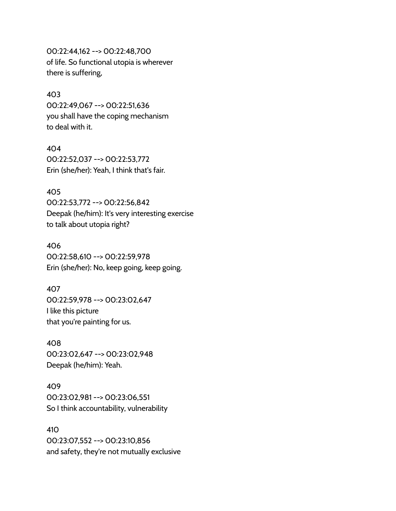00:22:44,162 --> 00:22:48,700 of life. So functional utopia is wherever there is suffering,

#### 403

00:22:49,067 --> 00:22:51,636 you shall have the coping mechanism to deal with it.

404 00:22:52,037 --> 00:22:53,772

Erin (she/her): Yeah, I think that's fair.

#### 405

00:22:53,772 --> 00:22:56,842 Deepak (he/him): It's very interesting exercise to talk about utopia right?

## 406

00:22:58,610 --> 00:22:59,978 Erin (she/her): No, keep going, keep going.

#### 407

00:22:59,978 --> 00:23:02,647 I like this picture that you're painting for us.

408

00:23:02,647 --> 00:23:02,948 Deepak (he/him): Yeah.

# 409

00:23:02,981 --> 00:23:06,551 So I think accountability, vulnerability

# 410

00:23:07,552 --> 00:23:10,856 and safety, they're not mutually exclusive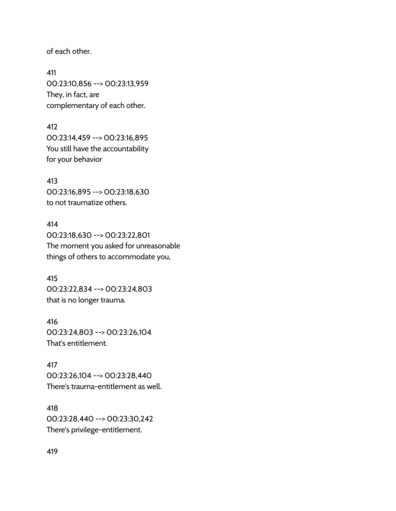of each other.

411 00:23:10,856 --> 00:23:13,959 They, in fact, are complementary of each other.

412 00:23:14,459 --> 00:23:16,895 You still have the accountability for your behavior

413 00:23:16,895 --> 00:23:18,630 to not traumatize others.

414 00:23:18,630 --> 00:23:22,801 The moment you asked for unreasonable things of others to accommodate you,

415 00:23:22,834 --> 00:23:24,803 that is no longer trauma.

416 00:23:24,803 --> 00:23:26,104 That's entitlement.

417 00:23:26,104 --> 00:23:28,440 There's trauma-entitlement as well.

418 00:23:28,440 --> 00:23:30,242 There's privilege-entitlement.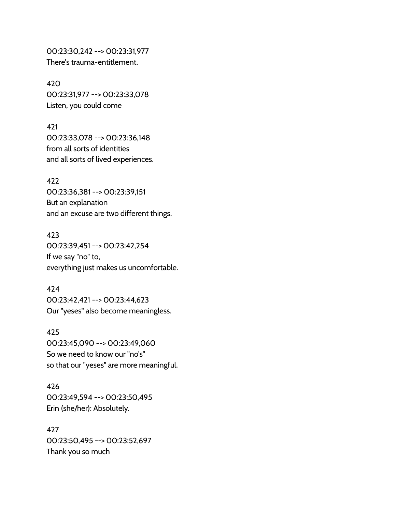00:23:30,242 --> 00:23:31,977 There's trauma-entitlement.

420 00:23:31,977 --> 00:23:33,078 Listen, you could come

421 00:23:33,078 --> 00:23:36,148 from all sorts of identities and all sorts of lived experiences.

422 00:23:36,381 --> 00:23:39,151 But an explanation and an excuse are two different things.

423 00:23:39,451 --> 00:23:42,254 If we say "no" to, everything just makes us uncomfortable.

424 00:23:42,421 --> 00:23:44,623 Our "yeses" also become meaningless.

425 00:23:45,090 --> 00:23:49,060 So we need to know our "no's" so that our "yeses" are more meaningful.

426 00:23:49,594 --> 00:23:50,495 Erin (she/her): Absolutely.

427 00:23:50,495 --> 00:23:52,697 Thank you so much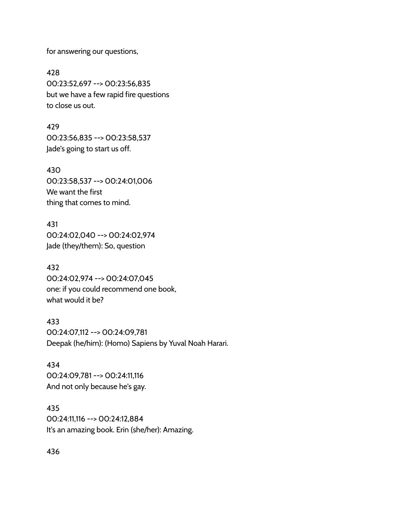for answering our questions,

428 00:23:52,697 --> 00:23:56,835 but we have a few rapid fire questions to close us out.

429 00:23:56,835 --> 00:23:58,537 Jade's going to start us off.

430 00:23:58,537 --> 00:24:01,006 We want the first thing that comes to mind.

431 00:24:02,040 --> 00:24:02,974 Jade (they/them): So, question

432 00:24:02,974 --> 00:24:07,045 one: if you could recommend one book, what would it be?

433 00:24:07,112 --> 00:24:09,781 Deepak (he/him): (Homo) Sapiens by Yuval Noah Harari.

434 00:24:09,781 --> 00:24:11,116 And not only because he's gay.

435 00:24:11,116 --> 00:24:12,884 It's an amazing book. Erin (she/her): Amazing.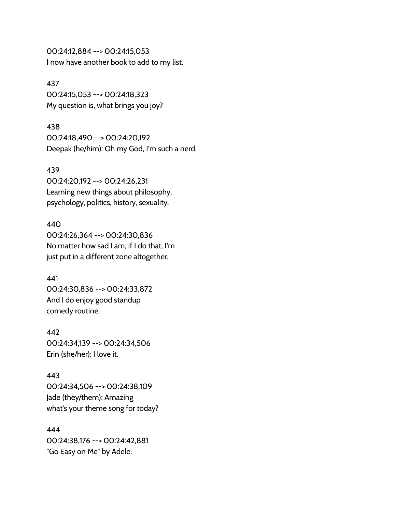00:24:12,884 --> 00:24:15,053 I now have another book to add to my list.

#### 437

00:24:15,053 --> 00:24:18,323 My question is, what brings you joy?

## 438

00:24:18,490 --> 00:24:20,192 Deepak (he/him): Oh my God, I'm such a nerd.

## 439

00:24:20,192 --> 00:24:26,231 Learning new things about philosophy, psychology, politics, history, sexuality.

## 440

00:24:26,364 --> 00:24:30,836 No matter how sad I am, if I do that, I'm just put in a different zone altogether.

## 441

00:24:30,836 --> 00:24:33,872 And I do enjoy good standup comedy routine.

#### 442

00:24:34,139 --> 00:24:34,506 Erin (she/her): I love it.

## 443

00:24:34,506 --> 00:24:38,109 Jade (they/them): Amazing what's your theme song for today?

## 444

00:24:38,176 --> 00:24:42,881 "Go Easy on Me" by Adele.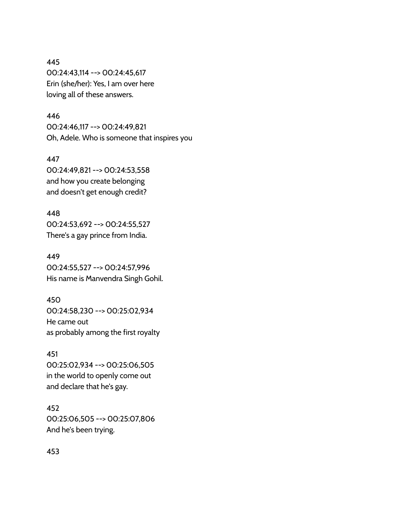# 445 00:24:43,114 --> 00:24:45,617 Erin (she/her): Yes, I am over here loving all of these answers.

## 446

00:24:46,117 --> 00:24:49,821 Oh, Adele. Who is someone that inspires you

447 00:24:49,821 --> 00:24:53,558 and how you create belonging and doesn't get enough credit?

# 448 00:24:53,692 --> 00:24:55,527 There's a gay prince from India.

449 00:24:55,527 --> 00:24:57,996 His name is Manvendra Singh Gohil.

450 00:24:58,230 --> 00:25:02,934 He came out as probably among the first royalty

451 00:25:02,934 --> 00:25:06,505 in the world to openly come out and declare that he's gay.

452 00:25:06,505 --> 00:25:07,806 And he's been trying.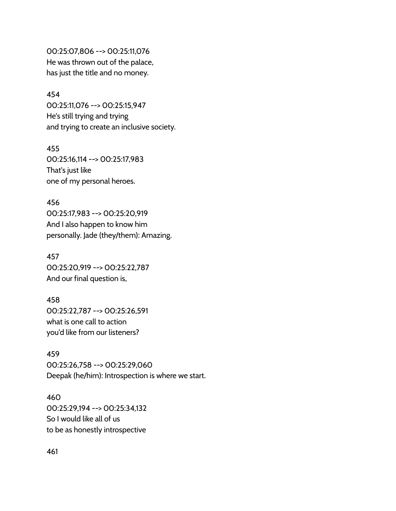00:25:07,806 --> 00:25:11,076 He was thrown out of the palace, has just the title and no money.

#### 454

00:25:11,076 --> 00:25:15,947 He's still trying and trying and trying to create an inclusive society.

455

00:25:16,114 --> 00:25:17,983 That's just like one of my personal heroes.

456 00:25:17,983 --> 00:25:20,919 And I also happen to know him personally. Jade (they/them): Amazing.

457 00:25:20,919 --> 00:25:22,787 And our final question is,

458 00:25:22,787 --> 00:25:26,591 what is one call to action you'd like from our listeners?

459 00:25:26,758 --> 00:25:29,060 Deepak (he/him): Introspection is where we start.

460 00:25:29,194 --> 00:25:34,132 So I would like all of us to be as honestly introspective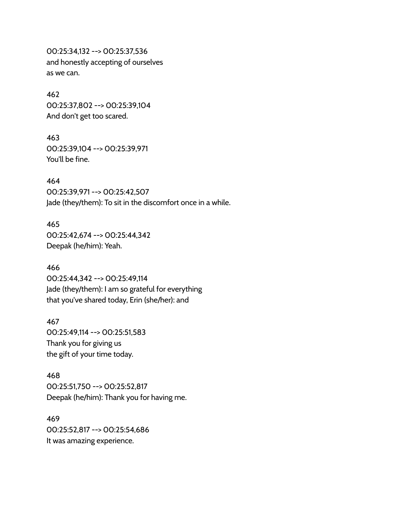00:25:34,132 --> 00:25:37,536 and honestly accepting of ourselves as we can.

#### 462

00:25:37,802 --> 00:25:39,104 And don't get too scared.

#### 463

00:25:39,104 --> 00:25:39,971 You'll be fine.

## 464

00:25:39,971 --> 00:25:42,507 Jade (they/them): To sit in the discomfort once in a while.

# 465

00:25:42,674 --> 00:25:44,342 Deepak (he/him): Yeah.

#### 466

00:25:44,342 --> 00:25:49,114 Jade (they/them): I am so grateful for everything that you've shared today, Erin (she/her): and

#### 467

00:25:49,114 --> 00:25:51,583 Thank you for giving us the gift of your time today.

## 468

00:25:51,750 --> 00:25:52,817 Deepak (he/him): Thank you for having me.

## 469 00:25:52,817 --> 00:25:54,686 It was amazing experience.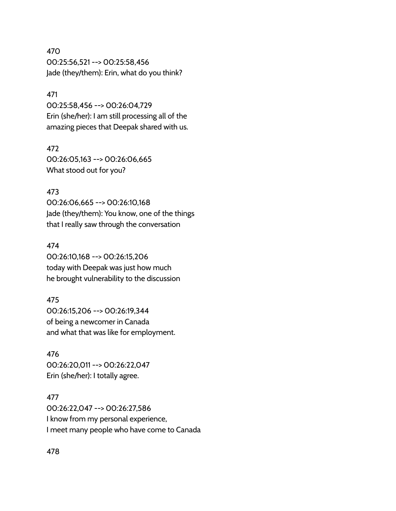470 00:25:56,521 --> 00:25:58,456 Jade (they/them): Erin, what do you think?

#### 471

00:25:58,456 --> 00:26:04,729 Erin (she/her): I am still processing all of the amazing pieces that Deepak shared with us.

#### 472

00:26:05,163 --> 00:26:06,665 What stood out for you?

## 473

00:26:06,665 --> 00:26:10,168 Jade (they/them): You know, one of the things that I really saw through the conversation

#### 474

00:26:10,168 --> 00:26:15,206 today with Deepak was just how much he brought vulnerability to the discussion

#### 475

00:26:15,206 --> 00:26:19,344 of being a newcomer in Canada and what that was like for employment.

#### 476

00:26:20,011 --> 00:26:22,047 Erin (she/her): I totally agree.

#### 477

00:26:22,047 --> 00:26:27,586 I know from my personal experience, I meet many people who have come to Canada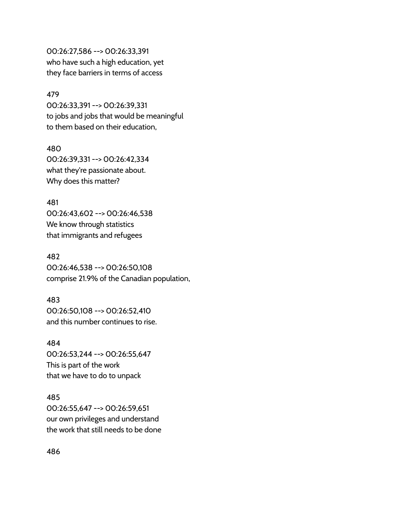00:26:27,586 --> 00:26:33,391 who have such a high education, yet they face barriers in terms of access

#### 479

00:26:33,391 --> 00:26:39,331 to jobs and jobs that would be meaningful to them based on their education,

## 480

00:26:39,331 --> 00:26:42,334 what they're passionate about. Why does this matter?

## 481

00:26:43,602 --> 00:26:46,538 We know through statistics that immigrants and refugees

## 482

00:26:46,538 --> 00:26:50,108 comprise 21.9% of the Canadian population,

## 483

00:26:50,108 --> 00:26:52,410 and this number continues to rise.

## 484

00:26:53,244 --> 00:26:55,647 This is part of the work that we have to do to unpack

## 485

00:26:55,647 --> 00:26:59,651 our own privileges and understand the work that still needs to be done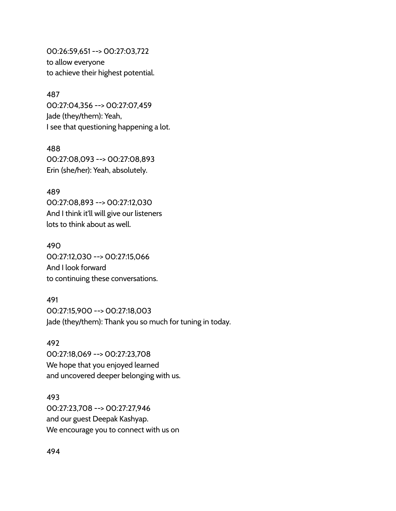00:26:59,651 --> 00:27:03,722 to allow everyone to achieve their highest potential.

#### 487

00:27:04,356 --> 00:27:07,459 Jade (they/them): Yeah, I see that questioning happening a lot.

#### 488

00:27:08,093 --> 00:27:08,893 Erin (she/her): Yeah, absolutely.

489 00:27:08,893 --> 00:27:12,030 And I think it'll will give our listeners lots to think about as well.

## 490

00:27:12,030 --> 00:27:15,066 And I look forward to continuing these conversations.

## 491

00:27:15,900 --> 00:27:18,003 Jade (they/them): Thank you so much for tuning in today.

#### 492

00:27:18,069 --> 00:27:23,708 We hope that you enjoyed learned and uncovered deeper belonging with us.

493 00:27:23,708 --> 00:27:27,946 and our guest Deepak Kashyap. We encourage you to connect with us on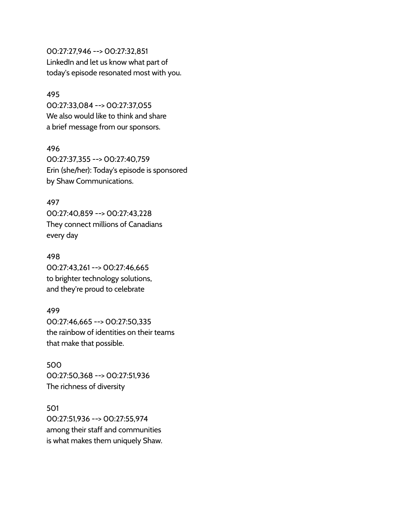00:27:27,946 --> 00:27:32,851 LinkedIn and let us know what part of today's episode resonated most with you.

#### 495

00:27:33,084 --> 00:27:37,055 We also would like to think and share a brief message from our sponsors.

#### 496

00:27:37,355 --> 00:27:40,759 Erin (she/her): Today's episode is sponsored by Shaw Communications.

## 497

00:27:40,859 --> 00:27:43,228 They connect millions of Canadians every day

## 498

00:27:43,261 --> 00:27:46,665 to brighter technology solutions, and they're proud to celebrate

#### 499

00:27:46,665 --> 00:27:50,335 the rainbow of identities on their teams that make that possible.

500 00:27:50,368 --> 00:27:51,936 The richness of diversity

501 00:27:51,936 --> 00:27:55,974 among their staff and communities is what makes them uniquely Shaw.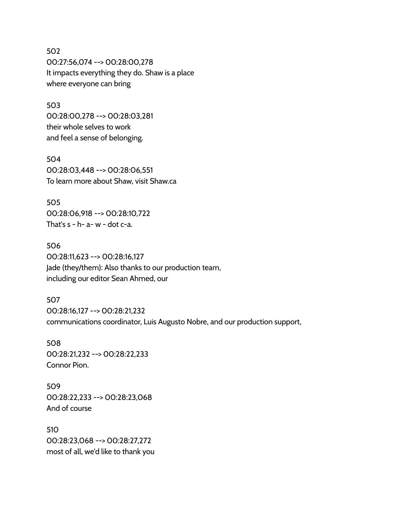502 00:27:56,074 --> 00:28:00,278 It impacts everything they do. Shaw is a place where everyone can bring

503 00:28:00,278 --> 00:28:03,281 their whole selves to work and feel a sense of belonging.

504 00:28:03,448 --> 00:28:06,551 To learn more about Shaw, visit Shaw.ca

505 00:28:06,918 --> 00:28:10,722 That's  $s - h - a - w - dot c - a$ .

506 00:28:11,623 --> 00:28:16,127 Jade (they/them): Also thanks to our production team, including our editor Sean Ahmed, our

507 00:28:16,127 --> 00:28:21,232 communications coordinator, Luis Augusto Nobre, and our production support,

508 00:28:21,232 --> 00:28:22,233 Connor Pion.

509 00:28:22,233 --> 00:28:23,068 And of course

510 00:28:23,068 --> 00:28:27,272 most of all, we'd like to thank you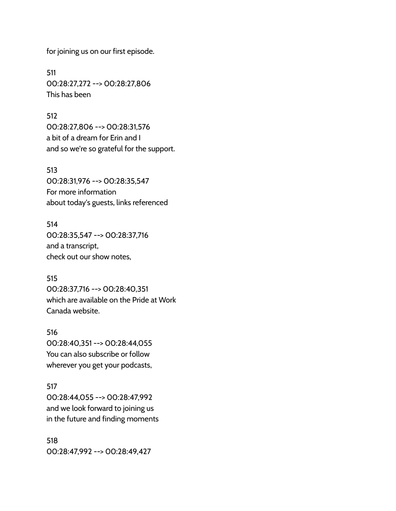for joining us on our first episode.

511 00:28:27,272 --> 00:28:27,806 This has been

#### 512

00:28:27,806 --> 00:28:31,576 a bit of a dream for Erin and I and so we're so grateful for the support.

#### 513

00:28:31,976 --> 00:28:35,547 For more information about today's guests, links referenced

514 00:28:35,547 --> 00:28:37,716 and a transcript, check out our show notes,

515 00:28:37,716 --> 00:28:40,351 which are available on the Pride at Work Canada website.

516 00:28:40,351 --> 00:28:44,055 You can also subscribe or follow wherever you get your podcasts,

517 00:28:44,055 --> 00:28:47,992 and we look forward to joining us in the future and finding moments

518 00:28:47,992 --> 00:28:49,427